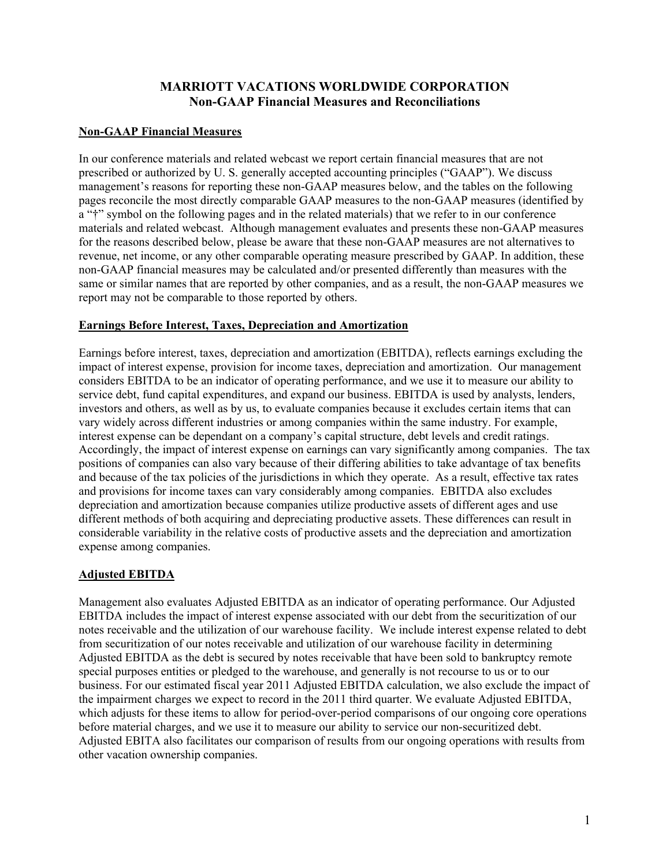# **MARRIOTT VACATIONS WORLDWIDE CORPORATION Non-GAAP Financial Measures and Reconciliations**

## **Non-GAAP Financial Measures**

In our conference materials and related webcast we report certain financial measures that are not prescribed or authorized by U. S. generally accepted accounting principles ("GAAP"). We discuss management's reasons for reporting these non-GAAP measures below, and the tables on the following pages reconcile the most directly comparable GAAP measures to the non-GAAP measures (identified by a "†" symbol on the following pages and in the related materials) that we refer to in our conference materials and related webcast. Although management evaluates and presents these non-GAAP measures for the reasons described below, please be aware that these non-GAAP measures are not alternatives to revenue, net income, or any other comparable operating measure prescribed by GAAP. In addition, these non-GAAP financial measures may be calculated and/or presented differently than measures with the same or similar names that are reported by other companies, and as a result, the non-GAAP measures we report may not be comparable to those reported by others.

## **Earnings Before Interest, Taxes, Depreciation and Amortization**

Earnings before interest, taxes, depreciation and amortization (EBITDA), reflects earnings excluding the impact of interest expense, provision for income taxes, depreciation and amortization. Our management considers EBITDA to be an indicator of operating performance, and we use it to measure our ability to service debt, fund capital expenditures, and expand our business. EBITDA is used by analysts, lenders, investors and others, as well as by us, to evaluate companies because it excludes certain items that can vary widely across different industries or among companies within the same industry. For example, interest expense can be dependant on a company's capital structure, debt levels and credit ratings. Accordingly, the impact of interest expense on earnings can vary significantly among companies. The tax positions of companies can also vary because of their differing abilities to take advantage of tax benefits and because of the tax policies of the jurisdictions in which they operate. As a result, effective tax rates and provisions for income taxes can vary considerably among companies. EBITDA also excludes depreciation and amortization because companies utilize productive assets of different ages and use different methods of both acquiring and depreciating productive assets. These differences can result in considerable variability in the relative costs of productive assets and the depreciation and amortization expense among companies.

## **Adjusted EBITDA**

Management also evaluates Adjusted EBITDA as an indicator of operating performance. Our Adjusted EBITDA includes the impact of interest expense associated with our debt from the securitization of our notes receivable and the utilization of our warehouse facility. We include interest expense related to debt from securitization of our notes receivable and utilization of our warehouse facility in determining Adjusted EBITDA as the debt is secured by notes receivable that have been sold to bankruptcy remote special purposes entities or pledged to the warehouse, and generally is not recourse to us or to our business. For our estimated fiscal year 2011 Adjusted EBITDA calculation, we also exclude the impact of the impairment charges we expect to record in the 2011 third quarter. We evaluate Adjusted EBITDA, which adjusts for these items to allow for period-over-period comparisons of our ongoing core operations before material charges, and we use it to measure our ability to service our non-securitized debt. Adjusted EBITA also facilitates our comparison of results from our ongoing operations with results from other vacation ownership companies.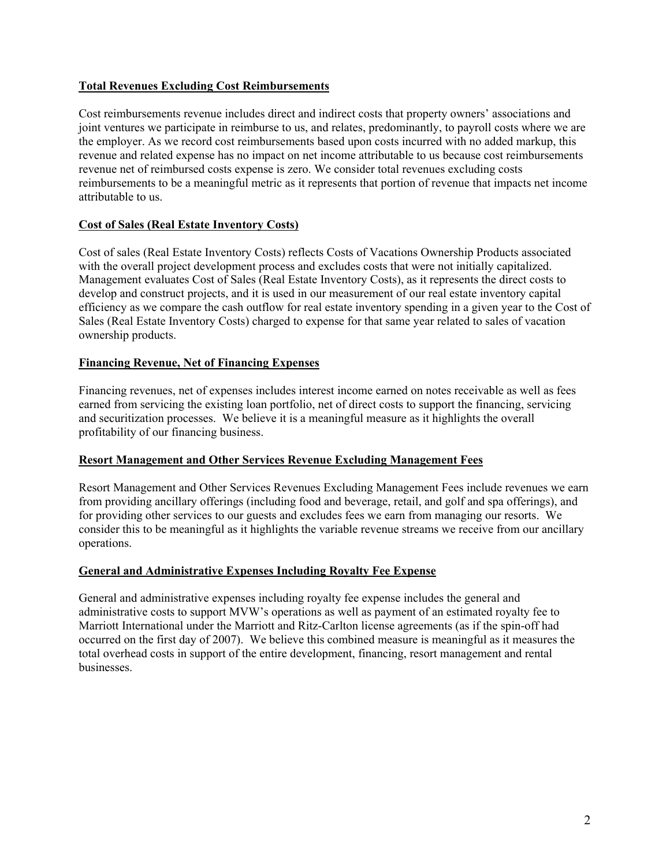## **Total Revenues Excluding Cost Reimbursements**

Cost reimbursements revenue includes direct and indirect costs that property owners' associations and joint ventures we participate in reimburse to us, and relates, predominantly, to payroll costs where we are the employer. As we record cost reimbursements based upon costs incurred with no added markup, this revenue and related expense has no impact on net income attributable to us because cost reimbursements revenue net of reimbursed costs expense is zero. We consider total revenues excluding costs reimbursements to be a meaningful metric as it represents that portion of revenue that impacts net income attributable to us.

## **Cost of Sales (Real Estate Inventory Costs)**

Cost of sales (Real Estate Inventory Costs) reflects Costs of Vacations Ownership Products associated with the overall project development process and excludes costs that were not initially capitalized. Management evaluates Cost of Sales (Real Estate Inventory Costs), as it represents the direct costs to develop and construct projects, and it is used in our measurement of our real estate inventory capital efficiency as we compare the cash outflow for real estate inventory spending in a given year to the Cost of Sales (Real Estate Inventory Costs) charged to expense for that same year related to sales of vacation ownership products.

## **Financing Revenue, Net of Financing Expenses**

Financing revenues, net of expenses includes interest income earned on notes receivable as well as fees earned from servicing the existing loan portfolio, net of direct costs to support the financing, servicing and securitization processes. We believe it is a meaningful measure as it highlights the overall profitability of our financing business.

#### **Resort Management and Other Services Revenue Excluding Management Fees**

Resort Management and Other Services Revenues Excluding Management Fees include revenues we earn from providing ancillary offerings (including food and beverage, retail, and golf and spa offerings), and for providing other services to our guests and excludes fees we earn from managing our resorts. We consider this to be meaningful as it highlights the variable revenue streams we receive from our ancillary operations.

#### **General and Administrative Expenses Including Royalty Fee Expense**

General and administrative expenses including royalty fee expense includes the general and administrative costs to support MVW's operations as well as payment of an estimated royalty fee to Marriott International under the Marriott and Ritz-Carlton license agreements (as if the spin-off had occurred on the first day of 2007). We believe this combined measure is meaningful as it measures the total overhead costs in support of the entire development, financing, resort management and rental businesses.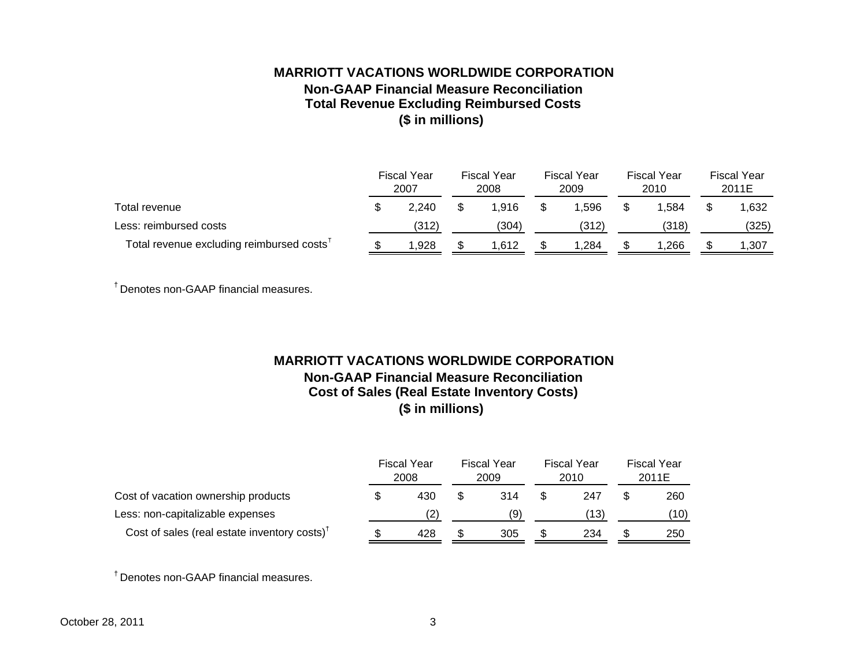# **MARRIOTT VACATIONS WORLDWIDE CORPORATIONNon-GAAP Financial Measure ReconciliationTotal Revenue Excluding Reimbursed Costs (\$ in millions)**

|                                                       | Fiscal Year<br>2007 |       | <b>Fiscal Year</b><br>2008 |       | <b>Fiscal Year</b><br>2009 |        | <b>Fiscal Year</b><br>2010 |       | <b>Fiscal Year</b><br>2011E |       |
|-------------------------------------------------------|---------------------|-------|----------------------------|-------|----------------------------|--------|----------------------------|-------|-----------------------------|-------|
| Total revenue                                         |                     | 2.240 |                            | 1.916 |                            | 596. ا | \$.                        | 1.584 |                             | 1,632 |
| Less: reimbursed costs                                |                     | (312) |                            | (304) |                            | (312)  |                            | (318) |                             | (325) |
| Total revenue excluding reimbursed costs <sup>T</sup> |                     | l.928 |                            | .612  |                            | 284. ا |                            | 1.266 |                             | 1,307 |

† Denotes non-GAAP financial measures.

# **MARRIOTT VACATIONS WORLDWIDE CORPORATIONNon-GAAP Financial Measure ReconciliationCost of Sales (Real Estate Inventory Costs) (\$ in millions)**

|                                                                             | <b>Fiscal Year</b><br>2008 |     | <b>Fiscal Year</b><br>2009 | Fiscal Year<br>2010 |      | Fiscal Year<br>2011E |      |
|-----------------------------------------------------------------------------|----------------------------|-----|----------------------------|---------------------|------|----------------------|------|
| Cost of vacation ownership products                                         |                            | 430 | 314                        |                     | 247  |                      | 260  |
| Less: non-capitalizable expenses                                            |                            |     | (9)                        |                     | (13) |                      | (10) |
| Cost of sales (real estate inventory costs) <sup><math>\dagger</math></sup> |                            | 428 | 305                        |                     | 234  | S                    | 250  |

† Denotes non-GAAP financial measures.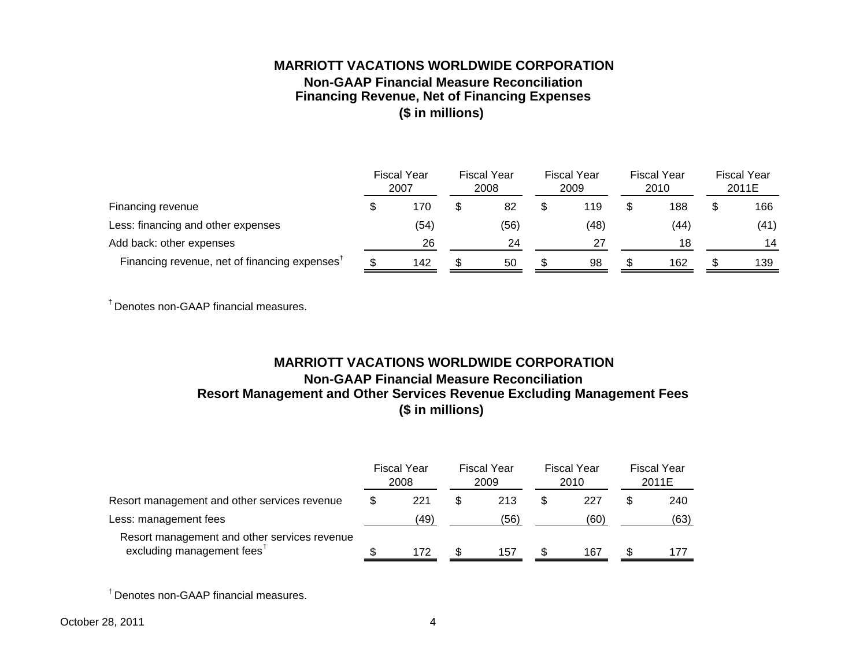# **MARRIOTT VACATIONS WORLDWIDE CORPORATIONNon-GAAP Financial Measure ReconciliationFinancing Revenue, Net of Financing Expenses (\$ in millions)**

|                                                           |  | <b>Fiscal Year</b><br>2007 |  | <b>Fiscal Year</b><br>2008 |  | <b>Fiscal Year</b><br>2009 |  | Fiscal Year<br>2010 |  | <b>Fiscal Year</b><br>2011E |  |
|-----------------------------------------------------------|--|----------------------------|--|----------------------------|--|----------------------------|--|---------------------|--|-----------------------------|--|
| Financing revenue                                         |  | 170                        |  | 82                         |  | 119                        |  | 188                 |  | 166                         |  |
| Less: financing and other expenses                        |  | (54)                       |  | (56)                       |  | (48)                       |  | (44)                |  | (41)                        |  |
| Add back: other expenses                                  |  | 26                         |  | 24                         |  | 27                         |  | 18                  |  | 14                          |  |
| Financing revenue, net of financing expenses <sup>†</sup> |  | 142                        |  | 50                         |  | 98                         |  | 162                 |  | 139                         |  |

† Denotes non-GAAP financial measures.

# **MARRIOTT VACATIONS WORLDWIDE CORPORATIONNon-GAAP Financial Measure ReconciliationResort Management and Other Services Revenue Excluding Management Fees (\$ in millions)**

| Resort management and other services revenue                                           |  | <b>Fiscal Year</b><br>2008 |  | Fiscal Year<br>2009 |  | Fiscal Year<br>2010 |  | <b>Fiscal Year</b><br>2011E |  |
|----------------------------------------------------------------------------------------|--|----------------------------|--|---------------------|--|---------------------|--|-----------------------------|--|
|                                                                                        |  | 221                        |  | 213                 |  | 227                 |  | 240                         |  |
| Less: management fees                                                                  |  | (49)                       |  | (56)                |  | (60)                |  | (63)                        |  |
| Resort management and other services revenue<br>excluding management fees <sup>t</sup> |  | 172                        |  | 157                 |  | 167                 |  | 177                         |  |

† Denotes non-GAAP financial measures.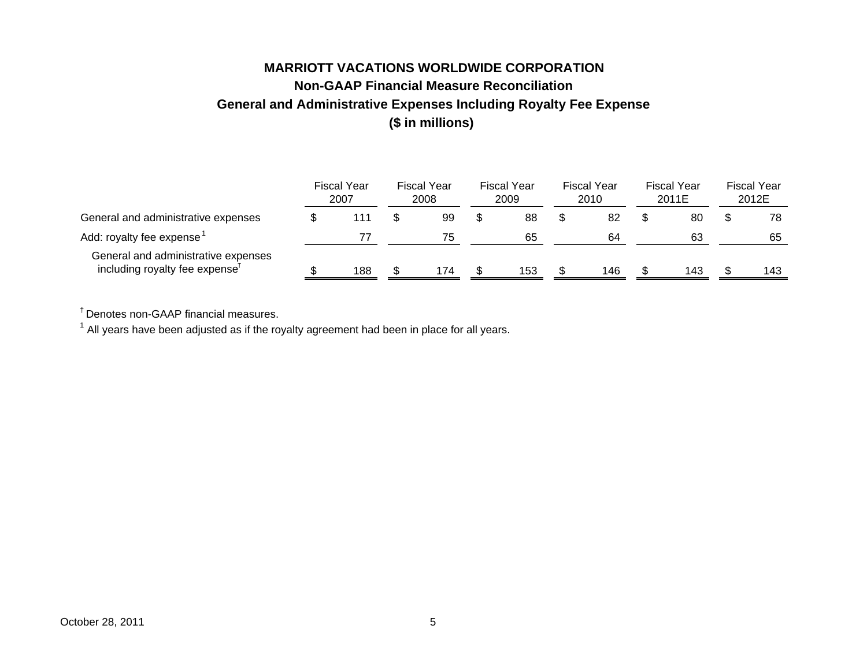# **MARRIOTT VACATIONS WORLDWIDE CORPORATIONNon-GAAP Financial Measure ReconciliationGeneral and Administrative Expenses Including Royalty Fee Expense (\$ in millions)**

|                                                                                   | <b>Fiscal Year</b><br>2007 | Fiscal Year<br>2008 | <b>Fiscal Year</b><br>2009 | Fiscal Year<br><b>Fiscal Year</b><br>2010<br>2011E |  | <b>Fiscal Year</b><br>2012E |  |     |
|-----------------------------------------------------------------------------------|----------------------------|---------------------|----------------------------|----------------------------------------------------|--|-----------------------------|--|-----|
| General and administrative expenses                                               | 111                        | 99                  | 88                         | 82                                                 |  | 80                          |  | 78  |
| Add: royalty fee expense <sup>1</sup>                                             |                            | 75                  | 65                         | 64                                                 |  | 63                          |  | 65  |
| General and administrative expenses<br>including royalty fee expense <sup>T</sup> | 188                        | 174                 | 153                        | 146                                                |  | 143                         |  | 143 |

† Denotes non-GAAP financial measures.

 $<sup>1</sup>$  All years have been adjusted as if the royalty agreement had been in place for all years.</sup>